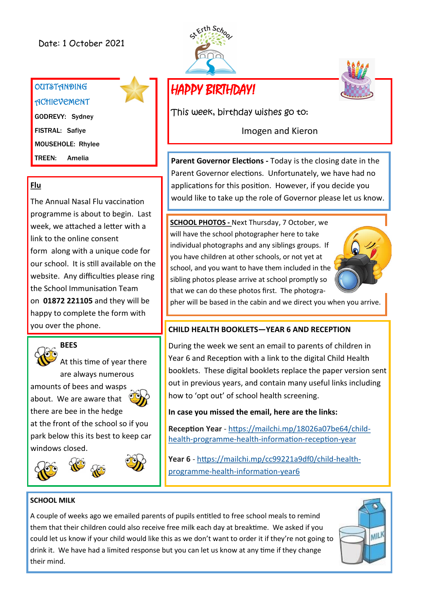### Date: 1 October 2021

# **OUTSTANDING ACHIEVEMENT**

GODREVY: Sydney FISTRAL: Safiye MOUSEHOLE: Rhylee TREEN: Amelia

#### **Flu**

The Annual Nasal Flu vaccination programme is about to begin. Last week, we attached a letter with a link to the online consent form along with a unique code for our school. It is still available on the website. Any difficulties please ring the School Immunisation Team on **01872 221105** and they will be happy to complete the form with you over the phone.



At this time of year there are always numerous amounts of bees and wasps about. We are aware that there are bee in the hedge at the front of the school so if you

park below this its best to keep car windows closed.









HAPPY BIRTHDAY!

This week, birthday wishes go to:

Imogen and Kieron

**Parent Governor Elections -** Today is the closing date in the Parent Governor elections. Unfortunately, we have had no applications for this position. However, if you decide you would like to take up the role of Governor please let us know.

**SCHOOL PHOTOS -** Next Thursday, 7 October, we will have the school photographer here to take individual photographs and any siblings groups. If you have children at other schools, or not yet at school, and you want to have them included in the sibling photos please arrive at school promptly so that we can do these photos first. The photogra-



pher will be based in the cabin and we direct you when you arrive.

#### **CHILD HEALTH BOOKLETS—YEAR 6 AND RECEPTION**

During the week we sent an email to parents of children in Year 6 and Reception with a link to the digital Child Health booklets. These digital booklets replace the paper version sent out in previous years, and contain many useful links including how to 'opt out' of school health screening.

**In case you missed the email, here are the links:**

**Reception Year** - [https://mailchi.mp/18026a07be64/child](https://mailchi.mp/18026a07be64/child-health-programme-health-information-reception-year)health-programme-health-[information](https://mailchi.mp/18026a07be64/child-health-programme-health-information-reception-year)-reception-year

**Year 6** - [https://mailchi.mp/cc99221a9df0/child](https://mailchi.mp/cc99221a9df0/child-health-programme-health-information-year6)-healthprogramme-health-[information](https://mailchi.mp/cc99221a9df0/child-health-programme-health-information-year6)-year6

#### **SCHOOL MILK**

A couple of weeks ago we emailed parents of pupils entitled to free school meals to remind them that their children could also receive free milk each day at breaktime. We asked if you could let us know if your child would like this as we don't want to order it if they're not going to drink it. We have had a limited response but you can let us know at any time if they change their mind.